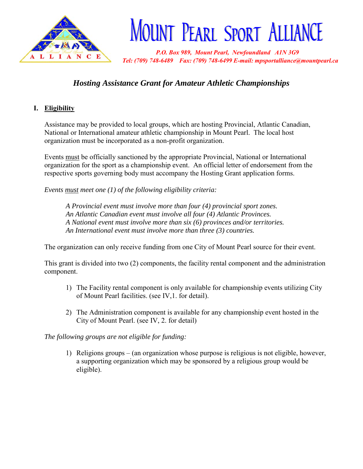

# **MOUNT PEARL SPORT ALLIANCE**

 *P.O. Box 989, Mount Pearl, Newfoundland A1N 3G9 Tel: (709) 748-6489 Fax: (709) 748-6499 E-mail: mpsportalliance@mountpearl.ca*

# *Hosting Assistance Grant for Amateur Athletic Championships*

## **I. Eligibility**

Assistance may be provided to local groups, which are hosting Provincial, Atlantic Canadian, National or International amateur athletic championship in Mount Pearl. The local host organization must be incorporated as a non-profit organization.

Events must be officially sanctioned by the appropriate Provincial, National or International organization for the sport as a championship event. An official letter of endorsement from the respective sports governing body must accompany the Hosting Grant application forms.

*Events must meet one (1) of the following eligibility criteria:* 

*A Provincial event must involve more than four (4) provincial sport zones. An Atlantic Canadian event must involve all four (4) Atlantic Provinces. A National event must involve more than six (6) provinces and/or territories. An International event must involve more than three (3) countries.*

The organization can only receive funding from one City of Mount Pearl source for their event.

This grant is divided into two (2) components, the facility rental component and the administration component.

- 1) The Facility rental component is only available for championship events utilizing City of Mount Pearl facilities. (see IV,1. for detail).
- 2) The Administration component is available for any championship event hosted in the City of Mount Pearl. (see IV, 2. for detail)

*The following groups are not eligible for funding:* 

1) Religions groups – (an organization whose purpose is religious is not eligible, however, a supporting organization which may be sponsored by a religious group would be eligible).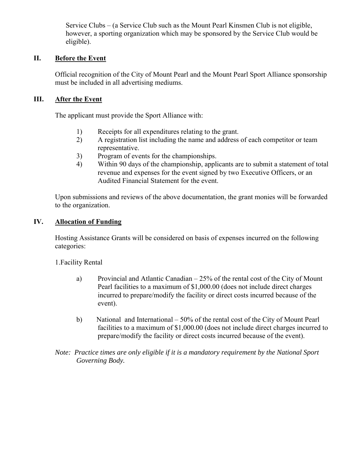Service Clubs – (a Service Club such as the Mount Pearl Kinsmen Club is not eligible, however, a sporting organization which may be sponsored by the Service Club would be eligible).

#### **II. Before the Event**

Official recognition of the City of Mount Pearl and the Mount Pearl Sport Alliance sponsorship must be included in all advertising mediums.

#### **III. After the Event**

The applicant must provide the Sport Alliance with:

- 1) Receipts for all expenditures relating to the grant.
- 2) A registration list including the name and address of each competitor or team representative.
- 3) Program of events for the championships.
- 4) Within 90 days of the championship, applicants are to submit a statement of total revenue and expenses for the event signed by two Executive Officers, or an Audited Financial Statement for the event.

Upon submissions and reviews of the above documentation, the grant monies will be forwarded to the organization.

#### **IV. Allocation of Funding**

Hosting Assistance Grants will be considered on basis of expenses incurred on the following categories:

1.Facility Rental

- a) Provincial and Atlantic Canadian 25% of the rental cost of the City of Mount Pearl facilities to a maximum of \$1,000.00 (does not include direct charges incurred to prepare/modify the facility or direct costs incurred because of the event).
- b) National and International 50% of the rental cost of the City of Mount Pearl facilities to a maximum of \$1,000.00 (does not include direct charges incurred to prepare/modify the facility or direct costs incurred because of the event).
- *Note: Practice times are only eligible if it is a mandatory requirement by the National Sport Governing Body.*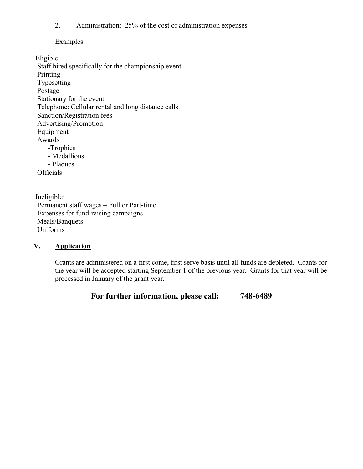2. Administration: 25% of the cost of administration expenses

Examples:

Eligible: Staff hired specifically for the championship event Printing Typesetting Postage Stationary for the event Telephone: Cellular rental and long distance calls Sanction/Registration fees Advertising/Promotion Equipment Awards -Trophies - Medallions - Plaques **Officials** 

Ineligible: Permanent staff wages – Full or Part-time Expenses for fund-raising campaigns Meals/Banquets Uniforms

## **V. Application**

Grants are administered on a first come, first serve basis until all funds are depleted. Grants for the year will be accepted starting September 1 of the previous year. Grants for that year will be processed in January of the grant year.

**For further information, please call: 748-6489**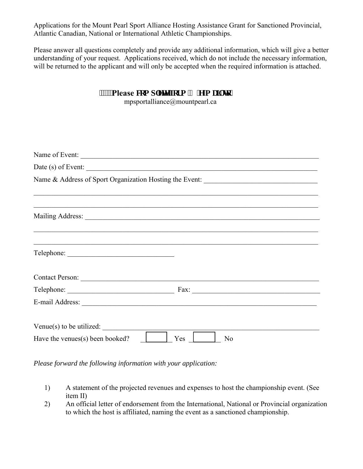Applications for the Mount Pearl Sport Alliance Hosting Assistance Grant for Sanctioned Provincial, Atlantic Canadian, National or International Athletic Championships.

Please answer all questions completely and provide any additional information, which will give a better understanding of your request. Applications received, which do not include the necessary information, will be returned to the applicant and will only be accepted when the required information is attached.

| """Please eqo rugy" hqto '( 'g/o ckiwq<<br>mpsportalliance@mountpearl.ca |                                                                                   |
|--------------------------------------------------------------------------|-----------------------------------------------------------------------------------|
|                                                                          |                                                                                   |
|                                                                          | Name of Event:                                                                    |
|                                                                          |                                                                                   |
|                                                                          | Name & Address of Sport Organization Hosting the Event: _________________________ |
|                                                                          |                                                                                   |
|                                                                          |                                                                                   |
|                                                                          |                                                                                   |
|                                                                          |                                                                                   |
|                                                                          |                                                                                   |
|                                                                          |                                                                                   |

*Please forward the following information with your application:* 

- 1) A statement of the projected revenues and expenses to host the championship event. (See item II)
- 2) An official letter of endorsement from the International, National or Provincial organization to which the host is affiliated, naming the event as a sanctioned championship.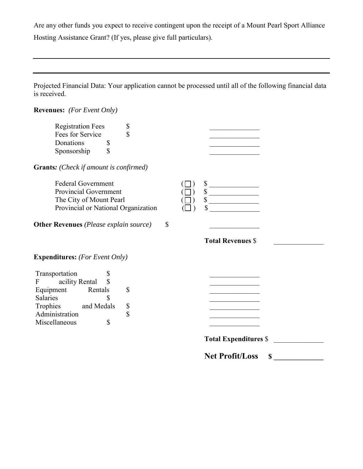Are any other funds you expect to receive contingent upon the receipt of a Mount Pearl Sport Alliance Hosting Assistance Grant? (If yes, please give full particulars).

Projected Financial Data: Your application cannot be processed until all of the following financial data is received.

**Revenues:** *(For Event Only)* Registration Fees \$<br>Fees for Service \$ Fees for Service  $\sim$  \$ Donations  $\frac{1}{2}$ <br>Sponsorship  $\frac{1}{2}$ Sponsorship \$ **Grants***: (Check if amount is confirmed)* Federal Government  $\begin{array}{c} (\Box) \quad \text{\$} \\ \text{Provincia Government} \end{array}$ Provincial Government  $(\Box)$ The City of Mount Pearl ( ) \$ \_\_\_\_\_\_\_\_\_\_\_\_\_\_ Provincial or National Organization  $(\Box)$  \$ **Other Revenues** *(Please explain source)* \$ \_\_\_\_\_\_\_\_\_\_\_\_\_\_ **Total Revenues** \$ \_\_\_\_\_\_\_\_\_\_\_\_\_\_ **Expenditures:** *(For Event Only)*  Transportation \$ F acility Rental \$ Equipment Rentals \$ Salaries \$ Trophies and Medals \$<br>Administration \$ Administration  $\qquad \qquad$  \$ Miscellaneous \$ **Total Expenditures** \$ \_\_\_\_\_\_\_\_\_\_\_\_\_\_ **Net Profit/Loss \$ \_\_\_\_\_\_\_\_\_\_\_\_\_\_**